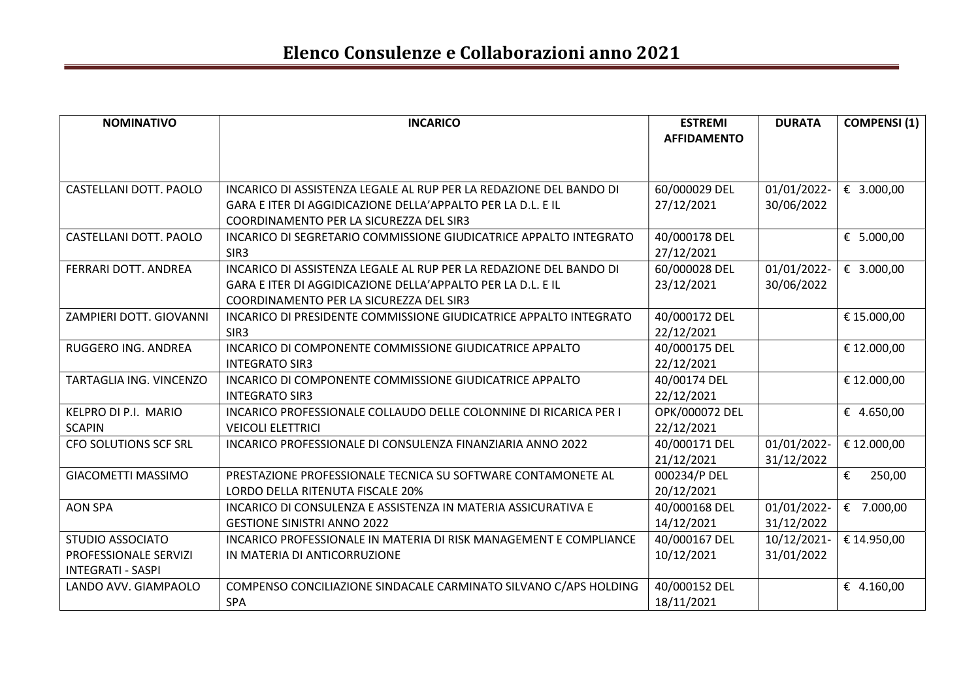| <b>NOMINATIVO</b>            | <b>INCARICO</b>                                                    | <b>ESTREMI</b>     | <b>DURATA</b> | <b>COMPENSI (1)</b> |
|------------------------------|--------------------------------------------------------------------|--------------------|---------------|---------------------|
|                              |                                                                    | <b>AFFIDAMENTO</b> |               |                     |
|                              |                                                                    |                    |               |                     |
|                              |                                                                    |                    |               |                     |
| CASTELLANI DOTT. PAOLO       | INCARICO DI ASSISTENZA LEGALE AL RUP PER LA REDAZIONE DEL BANDO DI | 60/000029 DEL      | 01/01/2022-   | € 3.000,00          |
|                              | GARA E ITER DI AGGIDICAZIONE DELLA'APPALTO PER LA D.L. E IL        | 27/12/2021         | 30/06/2022    |                     |
|                              | COORDINAMENTO PER LA SICUREZZA DEL SIR3                            |                    |               |                     |
| CASTELLANI DOTT. PAOLO       | INCARICO DI SEGRETARIO COMMISSIONE GIUDICATRICE APPALTO INTEGRATO  | 40/000178 DEL      |               | € $5.000,00$        |
|                              | SIR <sub>3</sub>                                                   | 27/12/2021         |               |                     |
| FERRARI DOTT. ANDREA         | INCARICO DI ASSISTENZA LEGALE AL RUP PER LA REDAZIONE DEL BANDO DI | 60/000028 DEL      | 01/01/2022-   | € 3.000,00          |
|                              | GARA E ITER DI AGGIDICAZIONE DELLA'APPALTO PER LA D.L. E IL        | 23/12/2021         | 30/06/2022    |                     |
|                              | COORDINAMENTO PER LA SICUREZZA DEL SIR3                            |                    |               |                     |
| ZAMPIERI DOTT. GIOVANNI      | INCARICO DI PRESIDENTE COMMISSIONE GIUDICATRICE APPALTO INTEGRATO  | 40/000172 DEL      |               | € 15.000,00         |
|                              | SIR <sub>3</sub>                                                   | 22/12/2021         |               |                     |
| RUGGERO ING. ANDREA          | INCARICO DI COMPONENTE COMMISSIONE GIUDICATRICE APPALTO            | 40/000175 DEL      |               | € 12.000,00         |
|                              | <b>INTEGRATO SIR3</b>                                              | 22/12/2021         |               |                     |
| TARTAGLIA ING. VINCENZO      | INCARICO DI COMPONENTE COMMISSIONE GIUDICATRICE APPALTO            | 40/00174 DEL       |               | € 12.000,00         |
|                              | <b>INTEGRATO SIR3</b>                                              | 22/12/2021         |               |                     |
| KELPRO DI P.I. MARIO         | INCARICO PROFESSIONALE COLLAUDO DELLE COLONNINE DI RICARICA PER I  | OPK/000072 DEL     |               | € 4.650,00          |
| <b>SCAPIN</b>                | <b>VEICOLI ELETTRICI</b>                                           | 22/12/2021         |               |                     |
| <b>CFO SOLUTIONS SCF SRL</b> | INCARICO PROFESSIONALE DI CONSULENZA FINANZIARIA ANNO 2022         | 40/000171 DEL      | 01/01/2022-   | € 12.000,00         |
|                              |                                                                    | 21/12/2021         | 31/12/2022    |                     |
| <b>GIACOMETTI MASSIMO</b>    | PRESTAZIONE PROFESSIONALE TECNICA SU SOFTWARE CONTAMONETE AL       | 000234/P DEL       |               | €<br>250,00         |
|                              | LORDO DELLA RITENUTA FISCALE 20%                                   | 20/12/2021         |               |                     |
| <b>AON SPA</b>               | INCARICO DI CONSULENZA E ASSISTENZA IN MATERIA ASSICURATIVA E      | 40/000168 DEL      | 01/01/2022-   | € 7.000,00          |
|                              | <b>GESTIONE SINISTRI ANNO 2022</b>                                 | 14/12/2021         | 31/12/2022    |                     |
| <b>STUDIO ASSOCIATO</b>      | INCARICO PROFESSIONALE IN MATERIA DI RISK MANAGEMENT E COMPLIANCE  | 40/000167 DEL      | 10/12/2021-   | € 14.950,00         |
| PROFESSIONALE SERVIZI        | IN MATERIA DI ANTICORRUZIONE                                       | 10/12/2021         | 31/01/2022    |                     |
| <b>INTEGRATI - SASPI</b>     |                                                                    |                    |               |                     |
| LANDO AVV. GIAMPAOLO         | COMPENSO CONCILIAZIONE SINDACALE CARMINATO SILVANO C/APS HOLDING   | 40/000152 DEL      |               | € 4.160,00          |
|                              | <b>SPA</b>                                                         | 18/11/2021         |               |                     |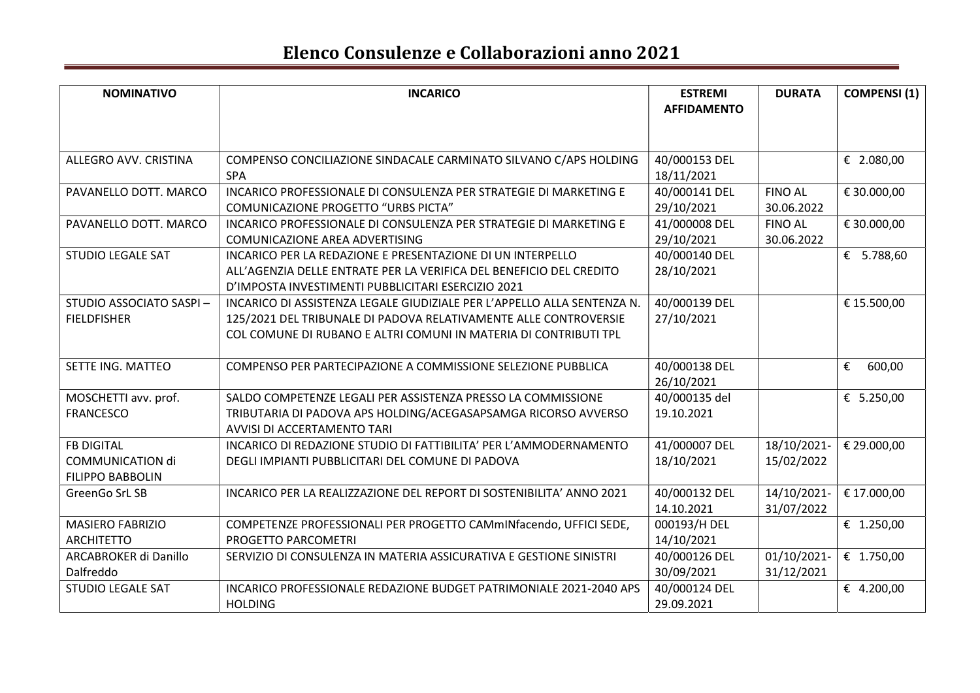| <b>NOMINATIVO</b>        | <b>INCARICO</b>                                                         | <b>ESTREMI</b>     | <b>DURATA</b>  | <b>COMPENSI</b> (1) |
|--------------------------|-------------------------------------------------------------------------|--------------------|----------------|---------------------|
|                          |                                                                         | <b>AFFIDAMENTO</b> |                |                     |
|                          |                                                                         |                    |                |                     |
|                          |                                                                         |                    |                |                     |
| ALLEGRO AVV. CRISTINA    | COMPENSO CONCILIAZIONE SINDACALE CARMINATO SILVANO C/APS HOLDING        | 40/000153 DEL      |                | € 2.080,00          |
|                          | <b>SPA</b>                                                              | 18/11/2021         |                |                     |
| PAVANELLO DOTT. MARCO    | INCARICO PROFESSIONALE DI CONSULENZA PER STRATEGIE DI MARKETING E       | 40/000141 DEL      | <b>FINO AL</b> | € 30.000,00         |
|                          | <b>COMUNICAZIONE PROGETTO "URBS PICTA"</b>                              | 29/10/2021         | 30.06.2022     |                     |
| PAVANELLO DOTT. MARCO    | INCARICO PROFESSIONALE DI CONSULENZA PER STRATEGIE DI MARKETING E       | 41/000008 DEL      | <b>FINO AL</b> | € 30.000,00         |
|                          | COMUNICAZIONE AREA ADVERTISING                                          | 29/10/2021         | 30.06.2022     |                     |
| <b>STUDIO LEGALE SAT</b> | INCARICO PER LA REDAZIONE E PRESENTAZIONE DI UN INTERPELLO              | 40/000140 DEL      |                | € 5.788,60          |
|                          | ALL'AGENZIA DELLE ENTRATE PER LA VERIFICA DEL BENEFICIO DEL CREDITO     | 28/10/2021         |                |                     |
|                          | D'IMPOSTA INVESTIMENTI PUBBLICITARI ESERCIZIO 2021                      |                    |                |                     |
| STUDIO ASSOCIATO SASPI-  | INCARICO DI ASSISTENZA LEGALE GIUDIZIALE PER L'APPELLO ALLA SENTENZA N. | 40/000139 DEL      |                | € 15.500,00         |
| <b>FIELDFISHER</b>       | 125/2021 DEL TRIBUNALE DI PADOVA RELATIVAMENTE ALLE CONTROVERSIE        | 27/10/2021         |                |                     |
|                          | COL COMUNE DI RUBANO E ALTRI COMUNI IN MATERIA DI CONTRIBUTI TPL        |                    |                |                     |
|                          |                                                                         |                    |                |                     |
| SETTE ING. MATTEO        | COMPENSO PER PARTECIPAZIONE A COMMISSIONE SELEZIONE PUBBLICA            | 40/000138 DEL      |                | 600,00<br>€         |
|                          |                                                                         | 26/10/2021         |                |                     |
| MOSCHETTI avv. prof.     | SALDO COMPETENZE LEGALI PER ASSISTENZA PRESSO LA COMMISSIONE            | 40/000135 del      |                | € 5.250,00          |
| <b>FRANCESCO</b>         | TRIBUTARIA DI PADOVA APS HOLDING/ACEGASAPSAMGA RICORSO AVVERSO          | 19.10.2021         |                |                     |
|                          | AVVISI DI ACCERTAMENTO TARI                                             |                    |                |                     |
| <b>FB DIGITAL</b>        | INCARICO DI REDAZIONE STUDIO DI FATTIBILITA' PER L'AMMODERNAMENTO       | 41/000007 DEL      | 18/10/2021-    | € 29.000,00         |
| <b>COMMUNICATION di</b>  | DEGLI IMPIANTI PUBBLICITARI DEL COMUNE DI PADOVA                        | 18/10/2021         | 15/02/2022     |                     |
| <b>FILIPPO BABBOLIN</b>  |                                                                         |                    |                |                     |
| GreenGo SrL SB           | INCARICO PER LA REALIZZAZIONE DEL REPORT DI SOSTENIBILITA' ANNO 2021    | 40/000132 DEL      | 14/10/2021-    | € 17.000,00         |
|                          |                                                                         | 14.10.2021         | 31/07/2022     |                     |
| <b>MASIERO FABRIZIO</b>  | COMPETENZE PROFESSIONALI PER PROGETTO CAMmINfacendo, UFFICI SEDE,       | 000193/H DEL       |                | € 1.250,00          |
| <b>ARCHITETTO</b>        | PROGETTO PARCOMETRI                                                     | 14/10/2021         |                |                     |
| ARCABROKER di Danillo    | SERVIZIO DI CONSULENZA IN MATERIA ASSICURATIVA E GESTIONE SINISTRI      | 40/000126 DEL      | 01/10/2021-    | € 1.750,00          |
| Dalfreddo                |                                                                         | 30/09/2021         | 31/12/2021     |                     |
| <b>STUDIO LEGALE SAT</b> | INCARICO PROFESSIONALE REDAZIONE BUDGET PATRIMONIALE 2021-2040 APS      | 40/000124 DEL      |                | € 4.200,00          |
|                          | <b>HOLDING</b>                                                          | 29.09.2021         |                |                     |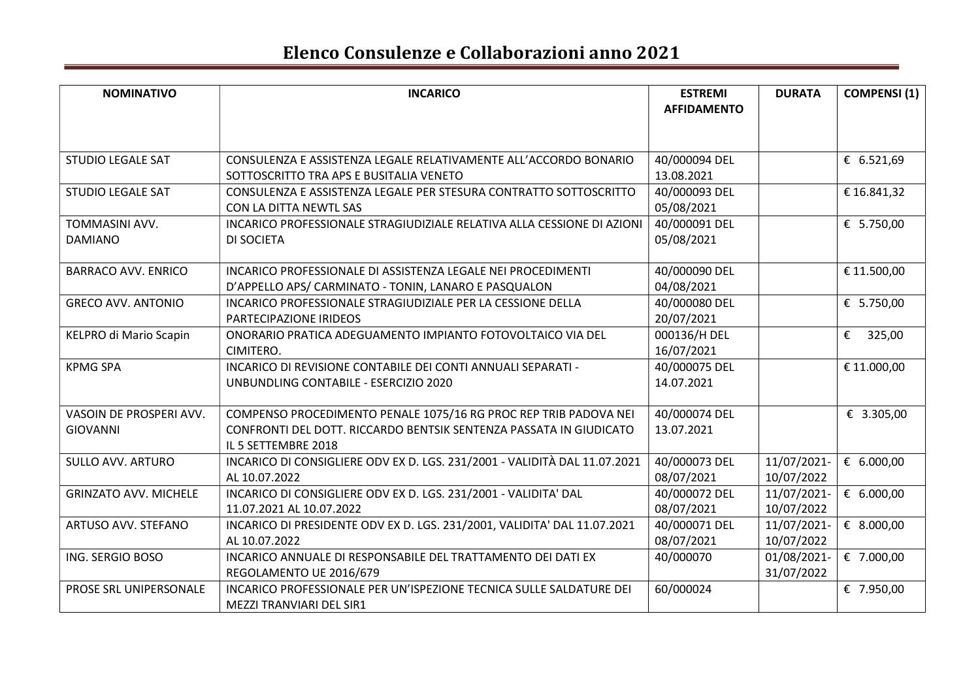| <b>NOMINATIVO</b>            | <b>INCARICO</b>                                                                                             | <b>ESTREMI</b><br><b>AFFIDAMENTO</b> | <b>DURATA</b> | <b>COMPENSI</b> (1) |
|------------------------------|-------------------------------------------------------------------------------------------------------------|--------------------------------------|---------------|---------------------|
|                              |                                                                                                             |                                      |               |                     |
|                              |                                                                                                             |                                      |               |                     |
| <b>STUDIO LEGALE SAT</b>     | CONSULENZA E ASSISTENZA LEGALE RELATIVAMENTE ALL'ACCORDO BONARIO<br>SOTTOSCRITTO TRA APS E BUSITALIA VENETO | 40/000094 DEL<br>13.08.2021          |               | € $6.521,69$        |
| <b>STUDIO LEGALE SAT</b>     | CONSULENZA E ASSISTENZA LEGALE PER STESURA CONTRATTO SOTTOSCRITTO                                           | 40/000093 DEL                        |               | € 16.841,32         |
|                              | CON LA DITTA NEWTL SAS                                                                                      | 05/08/2021                           |               |                     |
| TOMMASINI AVV.               | INCARICO PROFESSIONALE STRAGIUDIZIALE RELATIVA ALLA CESSIONE DI AZIONI                                      | 40/000091 DEL                        |               | € 5.750,00          |
| <b>DAMIANO</b>               | DI SOCIETA                                                                                                  | 05/08/2021                           |               |                     |
|                              |                                                                                                             |                                      |               |                     |
| <b>BARRACO AVV. ENRICO</b>   | INCARICO PROFESSIONALE DI ASSISTENZA LEGALE NEI PROCEDIMENTI                                                | 40/000090 DEL                        |               | € 11.500,00         |
|                              | D'APPELLO APS/ CARMINATO - TONIN, LANARO E PASQUALON                                                        | 04/08/2021                           |               |                     |
| <b>GRECO AVV. ANTONIO</b>    | INCARICO PROFESSIONALE STRAGIUDIZIALE PER LA CESSIONE DELLA                                                 | 40/000080 DEL                        |               | € $5.750,00$        |
|                              | PARTECIPAZIONE IRIDEOS                                                                                      | 20/07/2021                           |               |                     |
| KELPRO di Mario Scapin       | ONORARIO PRATICA ADEGUAMENTO IMPIANTO FOTOVOLTAICO VIA DEL                                                  | 000136/H DEL                         |               | €<br>325,00         |
|                              | CIMITERO.                                                                                                   | 16/07/2021                           |               |                     |
| <b>KPMG SPA</b>              | INCARICO DI REVISIONE CONTABILE DEI CONTI ANNUALI SEPARATI -                                                | 40/000075 DEL                        |               | € 11.000,00         |
|                              | UNBUNDLING CONTABILE - ESERCIZIO 2020                                                                       | 14.07.2021                           |               |                     |
|                              |                                                                                                             |                                      |               |                     |
| VASOIN DE PROSPERI AVV.      | COMPENSO PROCEDIMENTO PENALE 1075/16 RG PROC REP TRIB PADOVA NEI                                            | 40/000074 DEL                        |               | € 3.305,00          |
| <b>GIOVANNI</b>              | CONFRONTI DEL DOTT. RICCARDO BENTSIK SENTENZA PASSATA IN GIUDICATO                                          | 13.07.2021                           |               |                     |
| <b>SULLO AVV. ARTURO</b>     | IL 5 SETTEMBRE 2018<br>INCARICO DI CONSIGLIERE ODV EX D. LGS. 231/2001 - VALIDITÀ DAL 11.07.2021            | 40/000073 DEL                        | 11/07/2021-   | € 6.000,00          |
|                              |                                                                                                             |                                      |               |                     |
|                              | AL 10.07.2022                                                                                               | 08/07/2021                           | 10/07/2022    |                     |
| <b>GRINZATO AVV. MICHELE</b> | INCARICO DI CONSIGLIERE ODV EX D. LGS. 231/2001 - VALIDITA' DAL                                             | 40/000072 DEL                        | 11/07/2021-   | € 6.000,00          |
|                              | 11.07.2021 AL 10.07.2022                                                                                    | 08/07/2021                           | 10/07/2022    |                     |
| ARTUSO AVV. STEFANO          | INCARICO DI PRESIDENTE ODV EX D. LGS. 231/2001, VALIDITA' DAL 11.07.2021                                    | 40/000071 DEL                        | 11/07/2021-   | € 8.000,00          |
|                              | AL 10.07.2022                                                                                               | 08/07/2021                           | 10/07/2022    |                     |
| ING. SERGIO BOSO             | INCARICO ANNUALE DI RESPONSABILE DEL TRATTAMENTO DEI DATI EX                                                | 40/000070                            | 01/08/2021-   | € 7.000,00          |
|                              | REGOLAMENTO UE 2016/679                                                                                     |                                      | 31/07/2022    |                     |
| PROSE SRL UNIPERSONALE       | INCARICO PROFESSIONALE PER UN'ISPEZIONE TECNICA SULLE SALDATURE DEI                                         | 60/000024                            |               | € 7.950,00          |
|                              | MEZZI TRANVIARI DEL SIR1                                                                                    |                                      |               |                     |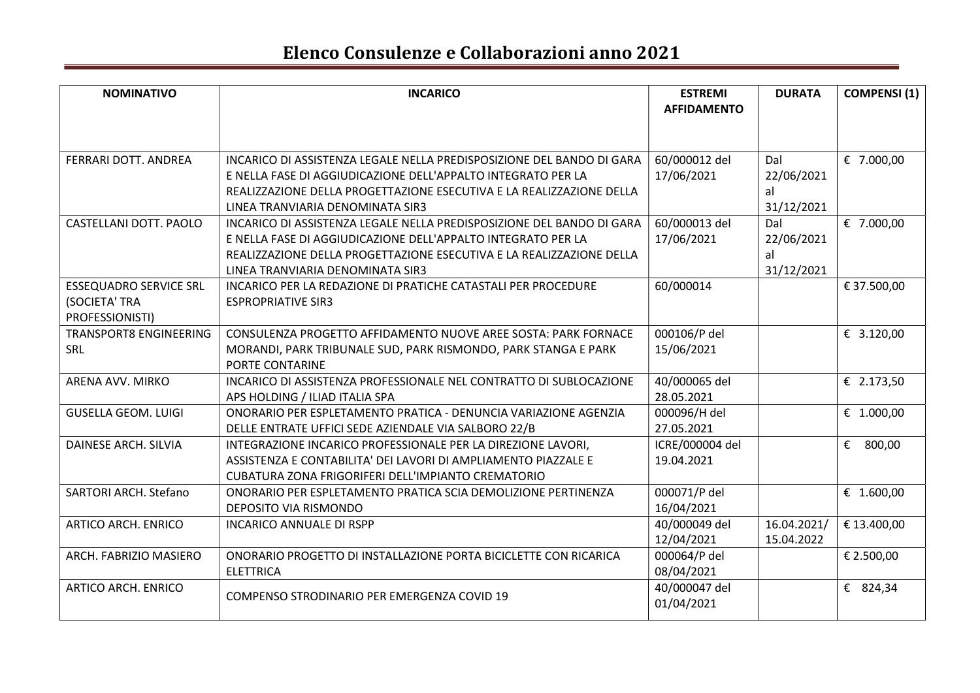| <b>NOMINATIVO</b>             | <b>INCARICO</b>                                                       | <b>ESTREMI</b>     | <b>DURATA</b> | <b>COMPENSI</b> (1) |
|-------------------------------|-----------------------------------------------------------------------|--------------------|---------------|---------------------|
|                               |                                                                       | <b>AFFIDAMENTO</b> |               |                     |
|                               |                                                                       |                    |               |                     |
|                               |                                                                       |                    |               |                     |
| FERRARI DOTT. ANDREA          | INCARICO DI ASSISTENZA LEGALE NELLA PREDISPOSIZIONE DEL BANDO DI GARA | 60/000012 del      | Dal           | € 7.000,00          |
|                               | E NELLA FASE DI AGGIUDICAZIONE DELL'APPALTO INTEGRATO PER LA          | 17/06/2021         | 22/06/2021    |                     |
|                               | REALIZZAZIONE DELLA PROGETTAZIONE ESECUTIVA E LA REALIZZAZIONE DELLA  |                    | al            |                     |
|                               | LINEA TRANVIARIA DENOMINATA SIR3                                      |                    | 31/12/2021    |                     |
| CASTELLANI DOTT. PAOLO        | INCARICO DI ASSISTENZA LEGALE NELLA PREDISPOSIZIONE DEL BANDO DI GARA | 60/000013 del      | Dal           | € 7.000,00          |
|                               | E NELLA FASE DI AGGIUDICAZIONE DELL'APPALTO INTEGRATO PER LA          | 17/06/2021         | 22/06/2021    |                     |
|                               | REALIZZAZIONE DELLA PROGETTAZIONE ESECUTIVA E LA REALIZZAZIONE DELLA  |                    | al            |                     |
|                               | LINEA TRANVIARIA DENOMINATA SIR3                                      |                    | 31/12/2021    |                     |
| <b>ESSEQUADRO SERVICE SRL</b> | INCARICO PER LA REDAZIONE DI PRATICHE CATASTALI PER PROCEDURE         | 60/000014          |               | € 37.500,00         |
| (SOCIETA' TRA                 | <b>ESPROPRIATIVE SIR3</b>                                             |                    |               |                     |
| PROFESSIONISTI)               |                                                                       |                    |               |                     |
| <b>TRANSPORT8 ENGINEERING</b> | CONSULENZA PROGETTO AFFIDAMENTO NUOVE AREE SOSTA: PARK FORNACE        | 000106/P del       |               | € 3.120,00          |
| <b>SRL</b>                    | MORANDI, PARK TRIBUNALE SUD, PARK RISMONDO, PARK STANGA E PARK        | 15/06/2021         |               |                     |
|                               | PORTE CONTARINE                                                       |                    |               |                     |
| ARENA AVV. MIRKO              | INCARICO DI ASSISTENZA PROFESSIONALE NEL CONTRATTO DI SUBLOCAZIONE    | 40/000065 del      |               | € 2.173,50          |
|                               | APS HOLDING / ILIAD ITALIA SPA                                        | 28.05.2021         |               |                     |
| <b>GUSELLA GEOM. LUIGI</b>    | ONORARIO PER ESPLETAMENTO PRATICA - DENUNCIA VARIAZIONE AGENZIA       | 000096/H del       |               | € 1.000,00          |
|                               | DELLE ENTRATE UFFICI SEDE AZIENDALE VIA SALBORO 22/B                  | 27.05.2021         |               |                     |
| DAINESE ARCH. SILVIA          | INTEGRAZIONE INCARICO PROFESSIONALE PER LA DIREZIONE LAVORI,          | ICRE/000004 del    |               | € 800,00            |
|                               | ASSISTENZA E CONTABILITA' DEI LAVORI DI AMPLIAMENTO PIAZZALE E        | 19.04.2021         |               |                     |
|                               | CUBATURA ZONA FRIGORIFERI DELL'IMPIANTO CREMATORIO                    |                    |               |                     |
| SARTORI ARCH. Stefano         | ONORARIO PER ESPLETAMENTO PRATICA SCIA DEMOLIZIONE PERTINENZA         | 000071/P del       |               | € 1.600,00          |
|                               | DEPOSITO VIA RISMONDO                                                 | 16/04/2021         |               |                     |
| <b>ARTICO ARCH. ENRICO</b>    | <b>INCARICO ANNUALE DI RSPP</b>                                       | 40/000049 del      | 16.04.2021/   | € 13.400,00         |
|                               |                                                                       | 12/04/2021         | 15.04.2022    |                     |
| ARCH. FABRIZIO MASIERO        | ONORARIO PROGETTO DI INSTALLAZIONE PORTA BICICLETTE CON RICARICA      | 000064/P del       |               | € 2.500,00          |
|                               | <b>ELETTRICA</b>                                                      | 08/04/2021         |               |                     |
| ARTICO ARCH. ENRICO           | COMPENSO STRODINARIO PER EMERGENZA COVID 19                           | 40/000047 del      |               | € 824,34            |
|                               |                                                                       | 01/04/2021         |               |                     |
|                               |                                                                       |                    |               |                     |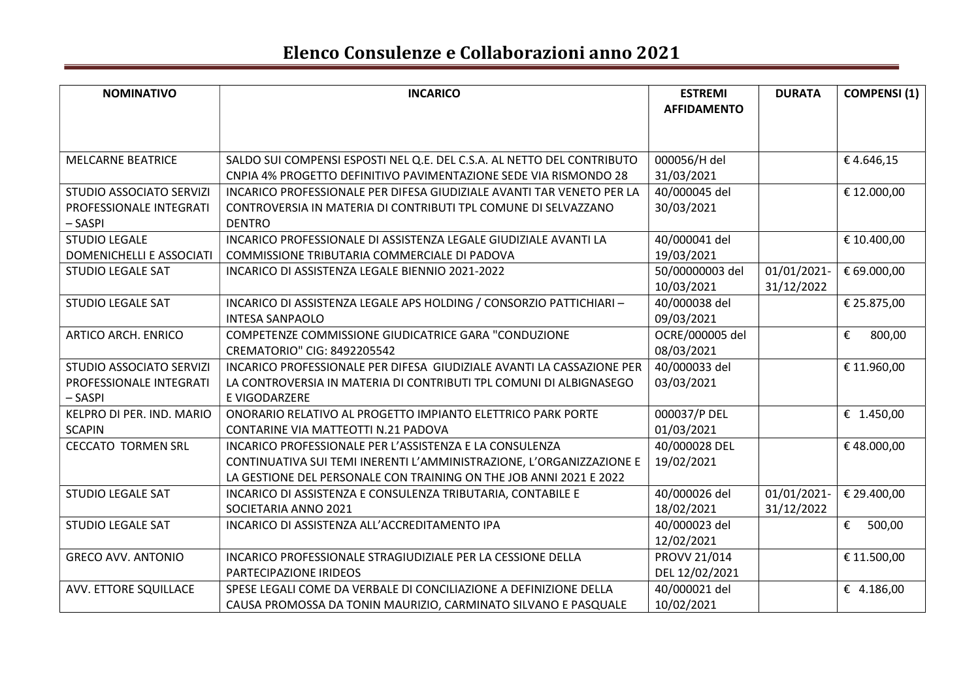| <b>NOMINATIVO</b>          | <b>INCARICO</b>                                                        | <b>ESTREMI</b>     | <b>DURATA</b> | <b>COMPENSI (1)</b> |
|----------------------------|------------------------------------------------------------------------|--------------------|---------------|---------------------|
|                            |                                                                        | <b>AFFIDAMENTO</b> |               |                     |
|                            |                                                                        |                    |               |                     |
| <b>MELCARNE BEATRICE</b>   | SALDO SUI COMPENSI ESPOSTI NEL Q.E. DEL C.S.A. AL NETTO DEL CONTRIBUTO | 000056/H del       |               | €4.646,15           |
|                            | CNPIA 4% PROGETTO DEFINITIVO PAVIMENTAZIONE SEDE VIA RISMONDO 28       | 31/03/2021         |               |                     |
| STUDIO ASSOCIATO SERVIZI   | INCARICO PROFESSIONALE PER DIFESA GIUDIZIALE AVANTI TAR VENETO PER LA  | 40/000045 del      |               | € 12.000,00         |
| PROFESSIONALE INTEGRATI    | CONTROVERSIA IN MATERIA DI CONTRIBUTI TPL COMUNE DI SELVAZZANO         | 30/03/2021         |               |                     |
| - SASPI                    | <b>DENTRO</b>                                                          |                    |               |                     |
| <b>STUDIO LEGALE</b>       | INCARICO PROFESSIONALE DI ASSISTENZA LEGALE GIUDIZIALE AVANTI LA       | 40/000041 del      |               | € 10.400,00         |
| DOMENICHELLI E ASSOCIATI   | COMMISSIONE TRIBUTARIA COMMERCIALE DI PADOVA                           | 19/03/2021         |               |                     |
| <b>STUDIO LEGALE SAT</b>   | INCARICO DI ASSISTENZA LEGALE BIENNIO 2021-2022                        | 50/00000003 del    | 01/01/2021-   | € 69.000,00         |
|                            |                                                                        | 10/03/2021         | 31/12/2022    |                     |
| <b>STUDIO LEGALE SAT</b>   | INCARICO DI ASSISTENZA LEGALE APS HOLDING / CONSORZIO PATTICHIARI-     | 40/000038 del      |               | € 25.875,00         |
|                            | <b>INTESA SANPAOLO</b>                                                 | 09/03/2021         |               |                     |
| <b>ARTICO ARCH. ENRICO</b> | COMPETENZE COMMISSIONE GIUDICATRICE GARA "CONDUZIONE                   | OCRE/000005 del    |               | €<br>800,00         |
|                            | CREMATORIO" CIG: 8492205542                                            | 08/03/2021         |               |                     |
| STUDIO ASSOCIATO SERVIZI   | INCARICO PROFESSIONALE PER DIFESA GIUDIZIALE AVANTI LA CASSAZIONE PER  | 40/000033 del      |               | € 11.960,00         |
| PROFESSIONALE INTEGRATI    | LA CONTROVERSIA IN MATERIA DI CONTRIBUTI TPL COMUNI DI ALBIGNASEGO     | 03/03/2021         |               |                     |
| - SASPI                    | E VIGODARZERE                                                          |                    |               |                     |
| KELPRO DI PER. IND. MARIO  | ONORARIO RELATIVO AL PROGETTO IMPIANTO ELETTRICO PARK PORTE            | 000037/P DEL       |               | € 1.450,00          |
| <b>SCAPIN</b>              | CONTARINE VIA MATTEOTTI N.21 PADOVA                                    | 01/03/2021         |               |                     |
| <b>CECCATO TORMEN SRL</b>  | INCARICO PROFESSIONALE PER L'ASSISTENZA E LA CONSULENZA                | 40/000028 DEL      |               | €48.000,00          |
|                            | CONTINUATIVA SUI TEMI INERENTI L'AMMINISTRAZIONE, L'ORGANIZZAZIONE E   | 19/02/2021         |               |                     |
|                            | LA GESTIONE DEL PERSONALE CON TRAINING ON THE JOB ANNI 2021 E 2022     |                    |               |                     |
| <b>STUDIO LEGALE SAT</b>   | INCARICO DI ASSISTENZA E CONSULENZA TRIBUTARIA, CONTABILE E            | 40/000026 del      | 01/01/2021-   | € 29.400,00         |
|                            | SOCIETARIA ANNO 2021                                                   | 18/02/2021         | 31/12/2022    |                     |
| <b>STUDIO LEGALE SAT</b>   | INCARICO DI ASSISTENZA ALL'ACCREDITAMENTO IPA                          | 40/000023 del      |               | €<br>500,00         |
|                            |                                                                        | 12/02/2021         |               |                     |
| <b>GRECO AVV. ANTONIO</b>  | INCARICO PROFESSIONALE STRAGIUDIZIALE PER LA CESSIONE DELLA            | PROVV 21/014       |               | € 11.500,00         |
|                            | PARTECIPAZIONE IRIDEOS                                                 | DEL 12/02/2021     |               |                     |
| AVV. ETTORE SQUILLACE      | SPESE LEGALI COME DA VERBALE DI CONCILIAZIONE A DEFINIZIONE DELLA      | 40/000021 del      |               | € 4.186,00          |
|                            | CAUSA PROMOSSA DA TONIN MAURIZIO, CARMINATO SILVANO E PASQUALE         | 10/02/2021         |               |                     |